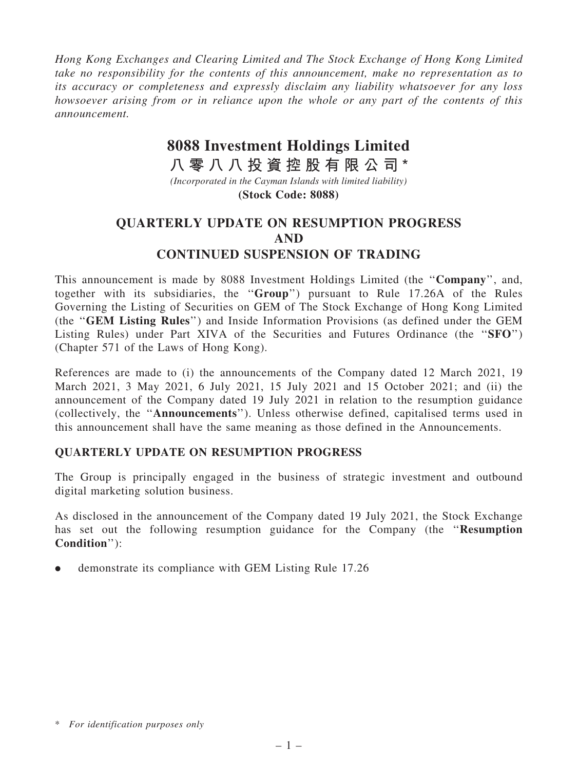*Hong Kong Exchanges and Clearing Limited and The Stock Exchange of Hong Kong Limited take no responsibility for the contents of this announcement, make no representation as to its accuracy or completeness and expressly disclaim any liability whatsoever for any loss howsoever arising from or in reliance upon the whole or any part of the contents of this announcement.*

## **8088 Investment Holdings Limited**

**八 零 八 八 投 資 控 股 有 限 公 司 \***

*(Incorporated in the Cayman Islands with limited liability)* **(Stock Code: 8088)**

## QUARTERLY UPDATE ON RESUMPTION PROGRESS AND CONTINUED SUSPENSION OF TRADING

This announcement is made by 8088 Investment Holdings Limited (the "Company", and, together with its subsidiaries, the ''Group'') pursuant to Rule 17.26A of the Rules Governing the Listing of Securities on GEM of The Stock Exchange of Hong Kong Limited (the ''GEM Listing Rules'') and Inside Information Provisions (as defined under the GEM Listing Rules) under Part XIVA of the Securities and Futures Ordinance (the "SFO") (Chapter 571 of the Laws of Hong Kong).

References are made to (i) the announcements of the Company dated 12 March 2021, 19 March 2021, 3 May 2021, 6 July 2021, 15 July 2021 and 15 October 2021; and (ii) the announcement of the Company dated 19 July 2021 in relation to the resumption guidance (collectively, the ''Announcements''). Unless otherwise defined, capitalised terms used in this announcement shall have the same meaning as those defined in the Announcements.

## QUARTERLY UPDATE ON RESUMPTION PROGRESS

The Group is principally engaged in the business of strategic investment and outbound digital marketing solution business.

As disclosed in the announcement of the Company dated 19 July 2021, the Stock Exchange has set out the following resumption guidance for the Company (the "Resumption Condition''):

. demonstrate its compliance with GEM Listing Rule 17.26

<sup>\*</sup> *For identification purposes only*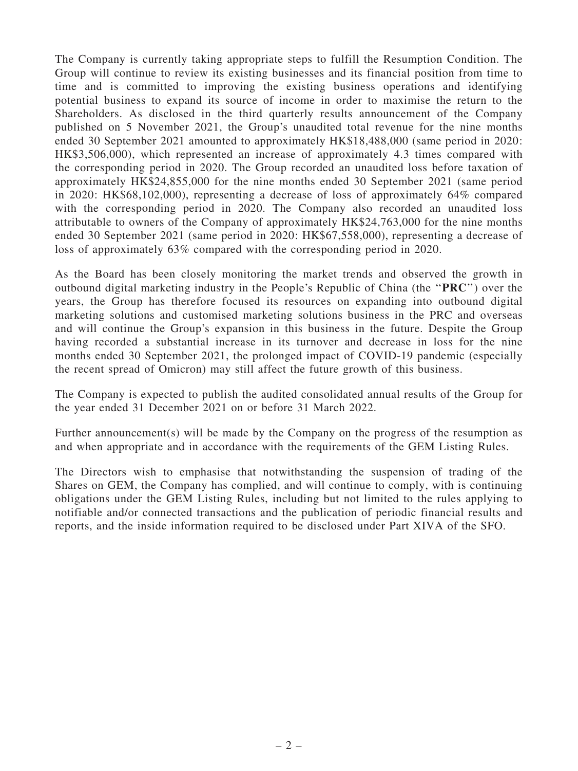The Company is currently taking appropriate steps to fulfill the Resumption Condition. The Group will continue to review its existing businesses and its financial position from time to time and is committed to improving the existing business operations and identifying potential business to expand its source of income in order to maximise the return to the Shareholders. As disclosed in the third quarterly results announcement of the Company published on 5 November 2021, the Group's unaudited total revenue for the nine months ended 30 September 2021 amounted to approximately HK\$18,488,000 (same period in 2020: HK\$3,506,000), which represented an increase of approximately 4.3 times compared with the corresponding period in 2020. The Group recorded an unaudited loss before taxation of approximately HK\$24,855,000 for the nine months ended 30 September 2021 (same period in 2020: HK\$68,102,000), representing a decrease of loss of approximately 64% compared with the corresponding period in 2020. The Company also recorded an unaudited loss attributable to owners of the Company of approximately HK\$24,763,000 for the nine months ended 30 September 2021 (same period in 2020: HK\$67,558,000), representing a decrease of loss of approximately 63% compared with the corresponding period in 2020.

As the Board has been closely monitoring the market trends and observed the growth in outbound digital marketing industry in the People's Republic of China (the ''PRC'') over the years, the Group has therefore focused its resources on expanding into outbound digital marketing solutions and customised marketing solutions business in the PRC and overseas and will continue the Group's expansion in this business in the future. Despite the Group having recorded a substantial increase in its turnover and decrease in loss for the nine months ended 30 September 2021, the prolonged impact of COVID-19 pandemic (especially the recent spread of Omicron) may still affect the future growth of this business.

The Company is expected to publish the audited consolidated annual results of the Group for the year ended 31 December 2021 on or before 31 March 2022.

Further announcement(s) will be made by the Company on the progress of the resumption as and when appropriate and in accordance with the requirements of the GEM Listing Rules.

The Directors wish to emphasise that notwithstanding the suspension of trading of the Shares on GEM, the Company has complied, and will continue to comply, with is continuing obligations under the GEM Listing Rules, including but not limited to the rules applying to notifiable and/or connected transactions and the publication of periodic financial results and reports, and the inside information required to be disclosed under Part XIVA of the SFO.